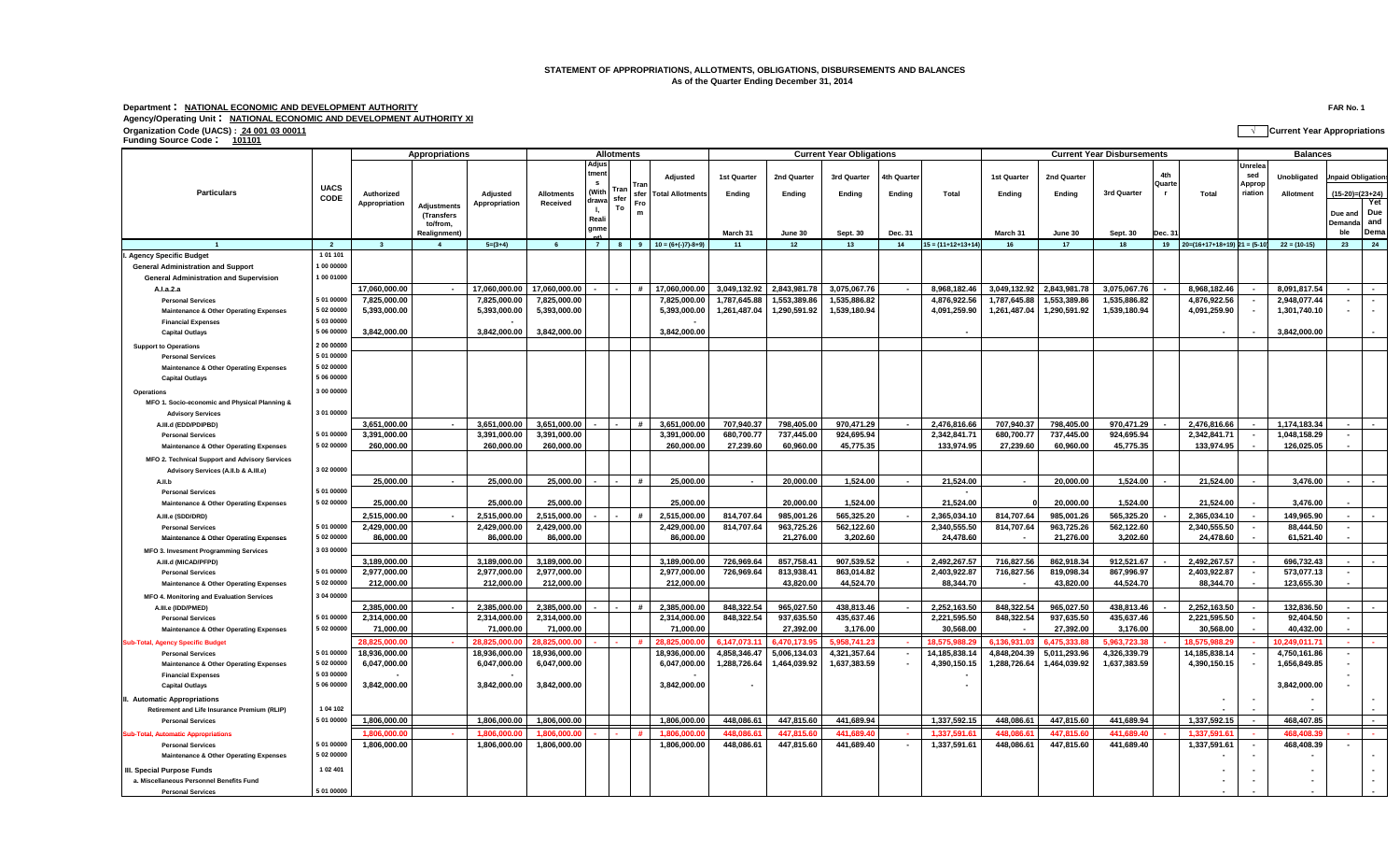## **STATEMENT OF APPROPRIATIONS, ALLOTMENTS, OBLIGATIONS, DISBURSEMENTS AND BALANCES As of the Quarter Ending December 31, 2014**

## **Department : NATIONAL ECONOMIC AND DEVELOPMENT AUTHORITY FAR No. 1 Agency/Operating Unit : NATIONAL ECONOMIC AND DEVELOPMENT AUTHORITY XI Organization Code (UACS) : 24 001 03 00011 √ Current Year Appropriations Funding Source Code : <sup>101101</sup>**

|                                                   |                | <b>Appropriations</b> |                         |               | <b>Allotments</b> |                |      |                                   |               | <b>Current Year Obligations</b> |              |              |                |                      | <b>Current Year Disbursements</b> |              |              |                      |                                       | <b>Balances</b>          |                |                          |        |
|---------------------------------------------------|----------------|-----------------------|-------------------------|---------------|-------------------|----------------|------|-----------------------------------|---------------|---------------------------------|--------------|--------------|----------------|----------------------|-----------------------------------|--------------|--------------|----------------------|---------------------------------------|--------------------------|----------------|--------------------------|--------|
|                                                   |                |                       |                         |               |                   | Adjus<br>tment |      | Trar                              | Adjusted      | 1st Quarter                     | 2nd Quarter  | 3rd Quarter  | 4th Quarter    |                      | 1st Quarter                       | 2nd Quarter  |              | <b>Ath</b><br>Quarte |                                       | Unrelea<br>sed<br>Approp | Unobligated    | npaid Obligation         |        |
| <b>Particulars</b>                                | <b>UACS</b>    | Authorized            |                         | Adjusted      | <b>Allotments</b> | (With          | Tran | sfer Total Allotments             |               | Ending                          | Ending       | Ending       | <b>Ending</b>  | Total                | Ending                            | Ending       | 3rd Quarter  |                      | Total                                 | riation                  | Allotment      | $(15-20)=(23+24)$        |        |
|                                                   | CODE           | Appropriation         | <b>Adjustments</b>      | Appropriation | Received          | drawa          | sfer | Fro                               |               |                                 |              |              |                |                      |                                   |              |              |                      |                                       |                          |                |                          | Yet    |
|                                                   |                |                       | (Transfers              |               |                   |                | To   | $\mathbf{m}$                      |               |                                 |              |              |                |                      |                                   |              |              |                      |                                       |                          |                | Due and Due              |        |
|                                                   |                |                       | to/from,                |               |                   | Reali          |      |                                   |               |                                 |              |              |                |                      |                                   |              |              |                      |                                       |                          |                | Demanda and              |        |
|                                                   |                |                       | Realignment)            |               |                   | gnme           |      |                                   |               | March 31                        | June 30      | Sept. 30     | Dec. 31        |                      | March 31                          | June 30      | Sept. 30     | Dec. 3               |                                       |                          |                | ble                      | Dema   |
|                                                   | $\overline{2}$ | $\mathbf{3}$          | $\overline{\mathbf{4}}$ | $5=(3+4)$     | - 6               | $\overline{7}$ |      | $8 \t 9 \t 10 = (6+(-7)) - 8 + 9$ |               | 11                              | 12           | 13           | 14             | $15 = (11+12+13+14)$ | 16                                | 17           | 18           |                      | $19$ $20=(16+17+18+19)$ $21 = (5-10)$ |                          | $22 = (10-15)$ | 23                       | 24     |
| <b>Agency Specific Budget</b>                     | 101101         |                       |                         |               |                   |                |      |                                   |               |                                 |              |              |                |                      |                                   |              |              |                      |                                       |                          |                |                          |        |
| <b>General Administration and Support</b>         | 00 00000       |                       |                         |               |                   |                |      |                                   |               |                                 |              |              |                |                      |                                   |              |              |                      |                                       |                          |                |                          |        |
| <b>General Administration and Supervision</b>     | 100 01000      |                       |                         |               |                   |                |      |                                   |               |                                 |              |              |                |                      |                                   |              |              |                      |                                       |                          |                |                          |        |
| A.I.a.2.a                                         |                | 17,060,000.00         | $\sim$                  | 17,060,000.00 | 17,060,000.00     |                |      | #<br>17.060.000.00                |               | 3,049,132.92                    | 2.843.981.78 | 3,075,067.76 | $\sim$         | 8,968,182.46         | 3,049,132.92                      | 2,843,981.78 | 3,075,067.76 |                      | 8,968,182.46                          |                          | 8,091,817.54   | $\overline{\phantom{a}}$ |        |
| <b>Personal Services</b>                          | 5 01 00000     | 7,825,000.00          |                         | 7,825,000.00  | 7,825,000.00      |                |      |                                   | 7,825,000.00  | 1,787,645.88                    | 1,553,389.86 | 1,535,886.82 |                | 4,876,922.56         | 1,787,645.88                      | 1,553,389.86 | 1,535,886.82 |                      | 4,876,922.56                          |                          | 2,948,077.44   | $\sim$                   | $\sim$ |
| Maintenance & Other Operating Expenses            | 5 02 00000     | 5,393,000.00          |                         | 5,393,000.00  | 5,393,000.00      |                |      |                                   | 5,393,000.00  | 1,261,487.04                    | 1,290,591.92 | 1,539,180.94 |                | 4,091,259.90         | 1,261,487.04                      | 1,290,591.92 | 1,539,180.94 |                      | 4,091,259.90                          |                          | 1,301,740.10   | $\sim$                   | $\sim$ |
| <b>Financial Expenses</b>                         | 5 03 00000     |                       |                         |               |                   |                |      |                                   |               |                                 |              |              |                |                      |                                   |              |              |                      |                                       |                          |                |                          |        |
| <b>Capital Outlays</b>                            | 5 06 00000     | 3,842,000.00          |                         | 3,842,000.00  | 3,842,000.00      |                |      |                                   | 3,842,000.00  |                                 |              |              |                |                      |                                   |              |              |                      |                                       |                          | 3,842,000.00   |                          |        |
|                                                   | 2 00 00000     |                       |                         |               |                   |                |      |                                   |               |                                 |              |              |                |                      |                                   |              |              |                      |                                       |                          |                |                          |        |
| <b>Support to Operations</b>                      | 5 01 00000     |                       |                         |               |                   |                |      |                                   |               |                                 |              |              |                |                      |                                   |              |              |                      |                                       |                          |                |                          |        |
| <b>Personal Services</b>                          |                |                       |                         |               |                   |                |      |                                   |               |                                 |              |              |                |                      |                                   |              |              |                      |                                       |                          |                |                          |        |
| Maintenance & Other Operating Expenses            | 5 02 00000     |                       |                         |               |                   |                |      |                                   |               |                                 |              |              |                |                      |                                   |              |              |                      |                                       |                          |                |                          |        |
| <b>Capital Outlays</b>                            | 5 06 00000     |                       |                         |               |                   |                |      |                                   |               |                                 |              |              |                |                      |                                   |              |              |                      |                                       |                          |                |                          |        |
| <b>Operations</b>                                 | 3 00 00000     |                       |                         |               |                   |                |      |                                   |               |                                 |              |              |                |                      |                                   |              |              |                      |                                       |                          |                |                          |        |
| MFO 1. Socio-economic and Physical Planning &     |                |                       |                         |               |                   |                |      |                                   |               |                                 |              |              |                |                      |                                   |              |              |                      |                                       |                          |                |                          |        |
| <b>Advisory Services</b>                          | 3 01 00000     |                       |                         |               |                   |                |      |                                   |               |                                 |              |              |                |                      |                                   |              |              |                      |                                       |                          |                |                          |        |
| A.III.d (EDD/PDIPBD)                              |                | 3,651,000.00          |                         | 3,651,000.00  | 3,651,000.00      |                |      | #                                 | 3,651,000.00  | 707,940.37                      | 798,405.00   | 970,471.29   |                | 2,476,816.66         | 707,940.37                        | 798,405.00   | 970,471.29   |                      | 2,476,816.66                          |                          | 1,174,183.34   |                          |        |
| <b>Personal Services</b>                          | 5 01 00000     | 3,391,000.00          |                         | 3,391,000.00  | 3,391,000.00      |                |      |                                   | 3,391,000.00  | 680,700.77                      | 737,445.00   | 924,695.94   |                | 2,342,841.71         | 680,700.77                        | 737,445.00   | 924,695.94   |                      | 2,342,841.71                          |                          | 1,048,158.29   |                          |        |
| <b>Maintenance &amp; Other Operating Expenses</b> | 5 02 00000     | 260,000.00            |                         | 260,000.00    | 260,000.00        |                |      |                                   | 260,000.00    | 27,239.60                       | 60,960.00    | 45,775.35    |                | 133,974.95           | 27,239.60                         | 60,960.00    | 45,775.35    |                      | 133,974.95                            |                          | 126,025.05     |                          |        |
| MFO 2. Technical Support and Advisory Services    |                |                       |                         |               |                   |                |      |                                   |               |                                 |              |              |                |                      |                                   |              |              |                      |                                       |                          |                |                          |        |
| Advisory Services (A.II.b & A.III.e)              | 3 02 00000     |                       |                         |               |                   |                |      |                                   |               |                                 |              |              |                |                      |                                   |              |              |                      |                                       |                          |                |                          |        |
| A.II.b                                            |                | 25,000.00             | $\blacksquare$          | 25,000.00     | 25,000.00         |                |      | #                                 | 25,000.00     | $\sim$                          | 20,000.00    | 1,524.00     | $\overline{a}$ | 21,524.00            | $\sim$                            | 20,000.00    | 1,524.00     |                      | 21,524.00                             |                          | 3,476.00       | $\sim$                   |        |
| <b>Personal Services</b>                          | 5 01 00000     |                       |                         |               |                   |                |      |                                   |               |                                 |              |              |                |                      |                                   |              |              |                      |                                       |                          |                |                          |        |
| Maintenance & Other Operating Expenses            | 5 02 00000     | 25,000.00             |                         | 25,000.00     | 25,000.00         |                |      |                                   | 25,000.00     |                                 | 20,000.00    | 1,524.00     |                | 21,524.00            |                                   | 20,000.00    | 1,524.00     |                      | 21,524.00                             |                          | 3,476.00       |                          |        |
|                                                   |                | 2,515,000.00          |                         | 2,515,000.00  | 2,515,000.00      |                |      | $\boldsymbol{\#}$                 | 2,515,000.00  | 814,707.64                      | 985,001.26   | 565,325.20   |                | 2,365,034.10         | 814,707.64                        | 985,001.26   | 565,325.20   |                      | 2,365,034.10                          |                          | 149,965.90     |                          |        |
| A.III.e (SDD/DRD)<br><b>Personal Services</b>     | 5 01 00000     | 2,429,000.00          |                         | 2,429,000.00  | 2,429,000.00      |                |      |                                   | 2,429,000.00  | 814,707.64                      | 963,725.26   | 562,122.60   |                | 2,340,555.50         | 814,707.64                        | 963,725.26   | 562,122.60   |                      | 2,340,555.50                          |                          | 88,444.50      |                          |        |
| <b>Maintenance &amp; Other Operating Expenses</b> | 5 02 00000     | 86,000.00             |                         | 86,000.00     | 86,000.00         |                |      |                                   | 86,000.00     |                                 | 21,276.00    | 3,202.60     |                | 24,478.60            |                                   | 21,276.00    | 3,202.60     |                      | 24,478.60                             |                          | 61,521.40      |                          |        |
|                                                   | 3 03 00000     |                       |                         |               |                   |                |      |                                   |               |                                 |              |              |                |                      |                                   |              |              |                      |                                       |                          |                |                          |        |
| MFO 3. Invesment Programming Services             |                |                       |                         |               |                   |                |      |                                   |               |                                 |              |              |                |                      |                                   |              |              |                      |                                       |                          |                | $\sim$                   |        |
| A.III.d (MICAD/PFPD)                              |                | 3,189,000.00          |                         | 3,189,000.00  | 3,189,000.00      |                |      |                                   | 3,189,000.00  | 726,969.64                      | 857,758.41   | 907,539.52   |                | 2,492,267.57         | 716,827.56                        | 862,918.34   | 912,521.67   |                      | 2,492,267.57                          |                          | 696,732.43     |                          |        |
| <b>Personal Services</b>                          | 5 01 00000     | 2,977,000.00          |                         | 2,977,000.00  | 2,977,000.00      |                |      |                                   | 2,977,000.00  | 726,969.64                      | 813,938.41   | 863,014.82   |                | 2,403,922.87         | 716,827.56                        | 819,098.34   | 867,996.97   |                      | 2,403,922.87                          |                          | 573,077.13     | $\blacksquare$           |        |
| <b>Maintenance &amp; Other Operating Expenses</b> | 5 02 00000     | 212,000.00            |                         | 212,000.00    | 212,000.00        |                |      |                                   | 212,000.00    |                                 | 43,820.00    | 44,524.70    |                | 88,344.70            | $\overline{\phantom{a}}$          | 43,820.00    | 44,524.70    |                      | 88,344.70                             |                          | 123,655.30     |                          |        |
| <b>MFO 4. Monitoring and Evaluation Services</b>  | 3 04 00000     |                       |                         |               |                   |                |      |                                   |               |                                 |              |              |                |                      |                                   |              |              |                      |                                       |                          |                |                          |        |
| A.III.e (IDD/PMED)                                |                | 2,385,000.00          |                         | 2.385.000.00  | 2.385.000.00      |                |      | #                                 | 2.385.000.00  | 848.322.54                      | 965.027.50   | 438.813.46   | $\sim$         | 2.252.163.50         | 848.322.54                        | 965,027.50   | 438.813.46   |                      | 2.252.163.50                          |                          | 132.836.50     |                          |        |
| <b>Personal Services</b>                          | 5 01 00000     | 2,314,000.00          |                         | 2,314,000.00  | 2,314,000.00      |                |      |                                   | 2,314,000.00  | 848,322.54                      | 937,635.50   | 435,637.46   |                | 2,221,595.50         | 848,322.54                        | 937,635.50   | 435,637.46   |                      | 2,221,595.50                          |                          | 92,404.50      |                          |        |
| <b>Maintenance &amp; Other Operating Expenses</b> | 5 02 00000     | 71,000.00             |                         | 71,000.00     | 71,000.00         |                |      |                                   | 71,000.00     |                                 | 27,392.00    | 3,176.00     |                | 30,568.00            |                                   | 27,392.00    | 3,176.00     |                      | 30,568.00                             |                          | 40,432.00      |                          |        |
| <b>Sub-Total, Agency Specific Budget</b>          |                | 28.825.000.00         |                         | 28.825.000.0  | 28.825.000.00     |                |      | 28.825.000.00<br>#                |               | 6.147.073.1                     | 6.470.173.9  | 5.958.741.2  |                | 18.575.988.2         | 6.136.931.03                      | 1475.333.8   | 5.963.723.38 |                      | 18.575.988.2                          |                          | 10.249.011.7   |                          |        |
| <b>Personal Services</b>                          | 5 01 00000     | 18,936,000.00         |                         | 18,936,000.00 | 18,936,000.00     |                |      |                                   | 18,936,000.00 | 4,858,346.47                    | 5,006,134.03 | 4,321,357.64 | $\sim$         | 14,185,838.14        | 4,848,204.39                      | 5,011,293.96 | 4,326,339.79 |                      | 14,185,838.14                         |                          | 4,750,161.86   |                          |        |
| <b>Maintenance &amp; Other Operating Expenses</b> | 5 02 00000     | 6,047,000.00          |                         | 6,047,000.00  | 6,047,000.00      |                |      |                                   | 6,047,000.00  | 1,288,726.64                    | 1,464,039.92 | 1,637,383.59 | $\blacksquare$ | 4,390,150.15         | 1,288,726.64                      | 1,464,039.92 | 1,637,383.59 |                      | 4,390,150.15                          |                          | 1,656,849.85   |                          |        |
| <b>Financial Expenses</b>                         | 5 03 00000     |                       |                         |               |                   |                |      |                                   |               |                                 |              |              |                |                      |                                   |              |              |                      |                                       |                          |                |                          |        |
| <b>Capital Outlays</b>                            | 5 06 00000     | 3,842,000.00          |                         | 3,842,000.00  | 3,842,000.00      |                |      |                                   | 3,842,000.00  |                                 |              |              |                |                      |                                   |              |              |                      |                                       |                          | 3,842,000.00   |                          |        |
| II. Automatic Appropriations                      |                |                       |                         |               |                   |                |      |                                   |               |                                 |              |              |                |                      |                                   |              |              |                      |                                       |                          |                |                          |        |
| Retirement and Life Insurance Premium (RLIP)      | 1 04 102       |                       |                         |               |                   |                |      |                                   |               |                                 |              |              |                |                      |                                   |              |              |                      |                                       |                          |                |                          |        |
| <b>Personal Services</b>                          | 5 01 00000     | 1,806,000.00          |                         | 1,806,000.00  | 1,806,000.00      |                |      |                                   | 1,806,000.00  | 448,086.61                      | 447,815.60   | 441,689.94   |                | 1,337,592.15         | 448,086.61                        | 447,815.60   | 441,689.94   |                      | 1,337,592.15                          |                          | 468,407.85     |                          | $\sim$ |
|                                                   |                | 1.806.000.00          |                         | 1.806.000.0   | 1.806.000.00      |                |      | #                                 | 1.806.000.0   | 448.086.61                      | 447.815.60   | 441.689.40   |                | 1.337.591.6          | 448.086.6                         | 447.815.60   | 441.689.40   |                      | 1.337.591.61                          |                          | 468,408.39     |                          |        |
| <b>Sub-Total, Automatic Appropriations</b>        | 5 01 00000     | 1,806,000.00          |                         | 1,806,000.00  | 1,806,000.00      |                |      |                                   | 1,806,000.00  | 448,086.61                      | 447,815.60   | 441,689.40   | $\sim$         |                      |                                   | 447,815.60   | 441,689.40   |                      |                                       | $\sim$                   | 468,408.39     |                          |        |
| <b>Personal Services</b>                          | 5 02 00000     |                       |                         |               |                   |                |      |                                   |               |                                 |              |              |                | 1,337,591.61         | 448,086.61                        |              |              |                      | 1,337,591.61                          |                          |                |                          |        |
| <b>Maintenance &amp; Other Operating Expenses</b> |                |                       |                         |               |                   |                |      |                                   |               |                                 |              |              |                |                      |                                   |              |              |                      |                                       |                          |                |                          |        |
| III. Special Purpose Funds                        | 1 02 401       |                       |                         |               |                   |                |      |                                   |               |                                 |              |              |                |                      |                                   |              |              |                      |                                       |                          |                |                          |        |
| a. Miscellaneous Personnel Benefits Fund          |                |                       |                         |               |                   |                |      |                                   |               |                                 |              |              |                |                      |                                   |              |              |                      |                                       |                          |                |                          | $\sim$ |
| <b>Personal Services</b>                          | 5 01 00000     |                       |                         |               |                   |                |      |                                   |               |                                 |              |              |                |                      |                                   |              |              |                      |                                       |                          |                |                          |        |